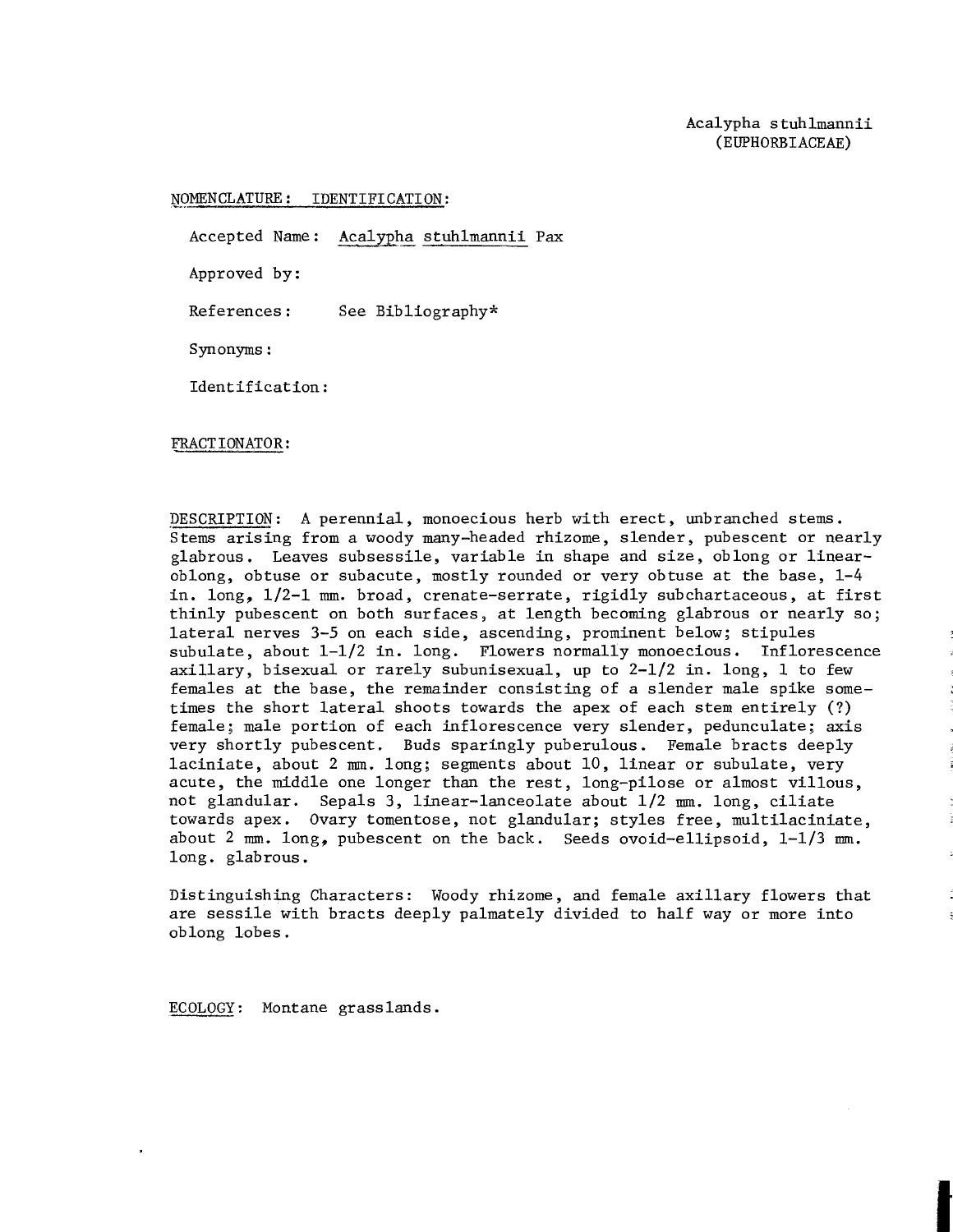## NOMENCLATURE: IDENTIFICATION:

Accepted Name: Acalypha stuhlmannii Pax

Approved by :

References: See Bibliography\*

Synonyms :

Identification :

## FRACTIONATOR:

DESCRIPTION: A perennial, monoecious herb with erect, unbranched stems. Stems arising from a woody many-headed rhizome, slender, pubescent or nearly glabrous. Leaves subsessile, variable in shape and size, oblong or linearoblong, obtuse or subacute, mostly rounded or very obtuse at the base, 1-4 in. long, 112-1 **mm.** broad, crenate-serrate, rigidly subchartaceous, at first thinly pubescent on both surfaces, at length becoming glabrous or nearly so; lateral nerves 3-5 on each side, ascending, prominent below; stipules subulate, about 1-1/2 in. long. Flowers normally monoecious. Inflorescence axillary, bisexual or rarely subunisexual, up to  $2-1/2$  in. long, 1 to few females at the base, the remainder consisting of a slender male spike sometimes the short lateral shoots towards the apex of each stem entirely (?) female; male portion of each inflorescence very slender, pedunculate; axis very shortly pubescent. Buds sparingly puberulous. Female bracts deeply laciniate, about 2 **mm.** long; segments about 10, linear or subulate, very acute, the middle one longer than the rest, long-pilose or almost villous, not glandular. Sepals 3, linear-lanceolate about  $1/2$  mm. long, ciliate towards apex. Ovary tomentose, not glandular; styles free, multilaciniate, about 2 mm. long, pubescent on the back. Seeds ovoid-ellipsoid,  $1-1/3$  mm. long. glabrous.

Distinguishing Characters: Woody rhizome, and female axillary flowers that are sessile with bracts deeply palmately divided to half way or more into oblong lobes.

ECOLOGY: Montane grasslands.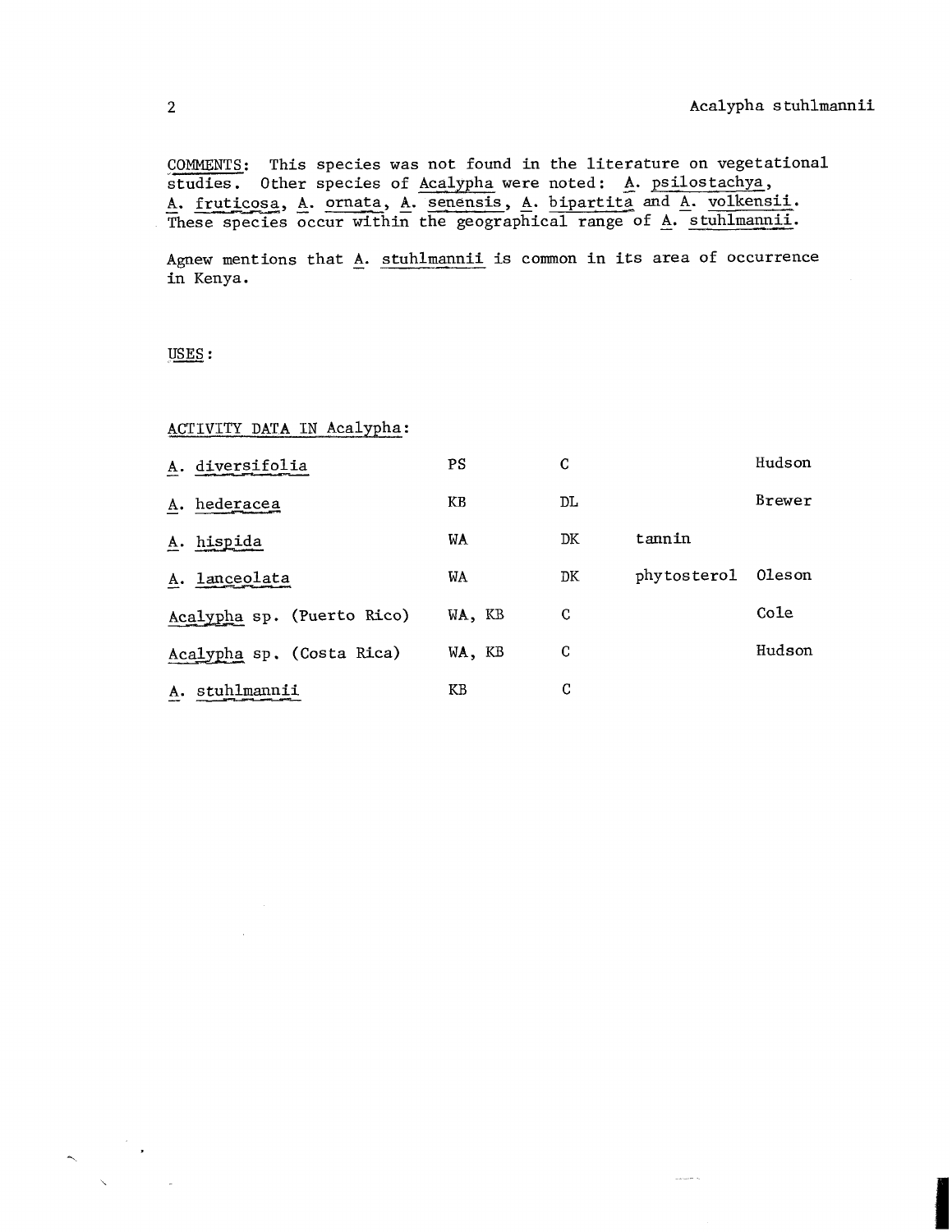and and the

COMMENTS: This species was not found in the literature on vegetational studies. Other species of Acalypha were noted: **A.** psilostachya, A. fruticosa, A. ornata, A. senensis, A. bipartita and A. volkensii. These species occur within the geographical range of **A.** stuhlmannii.

Agnew mentions that  $\underline{A}$ . stuhlmannii is common in its area of occurrence in Kenya.

USES:

## ACTIVITY DATA IN Acalypha :

|    | A. diversifolia            | <b>PS</b> | C  |             | Hudson |
|----|----------------------------|-----------|----|-------------|--------|
|    | A. hederacea               | КB        | DL |             | Brewer |
|    | A. hispida                 | WA        | DK | tannin      |        |
|    | A. lanceolata              | WA        | DK | phytosterol | Oleson |
|    | Acalypha sp. (Puerto Rico) | WA, KB    | C  |             | Cole   |
|    | Acalypha sp. (Costa Rica)  | WA, KB    | C  |             | Hudson |
| А. | stuhlmannii                | KB        | C  |             |        |
|    |                            |           |    |             |        |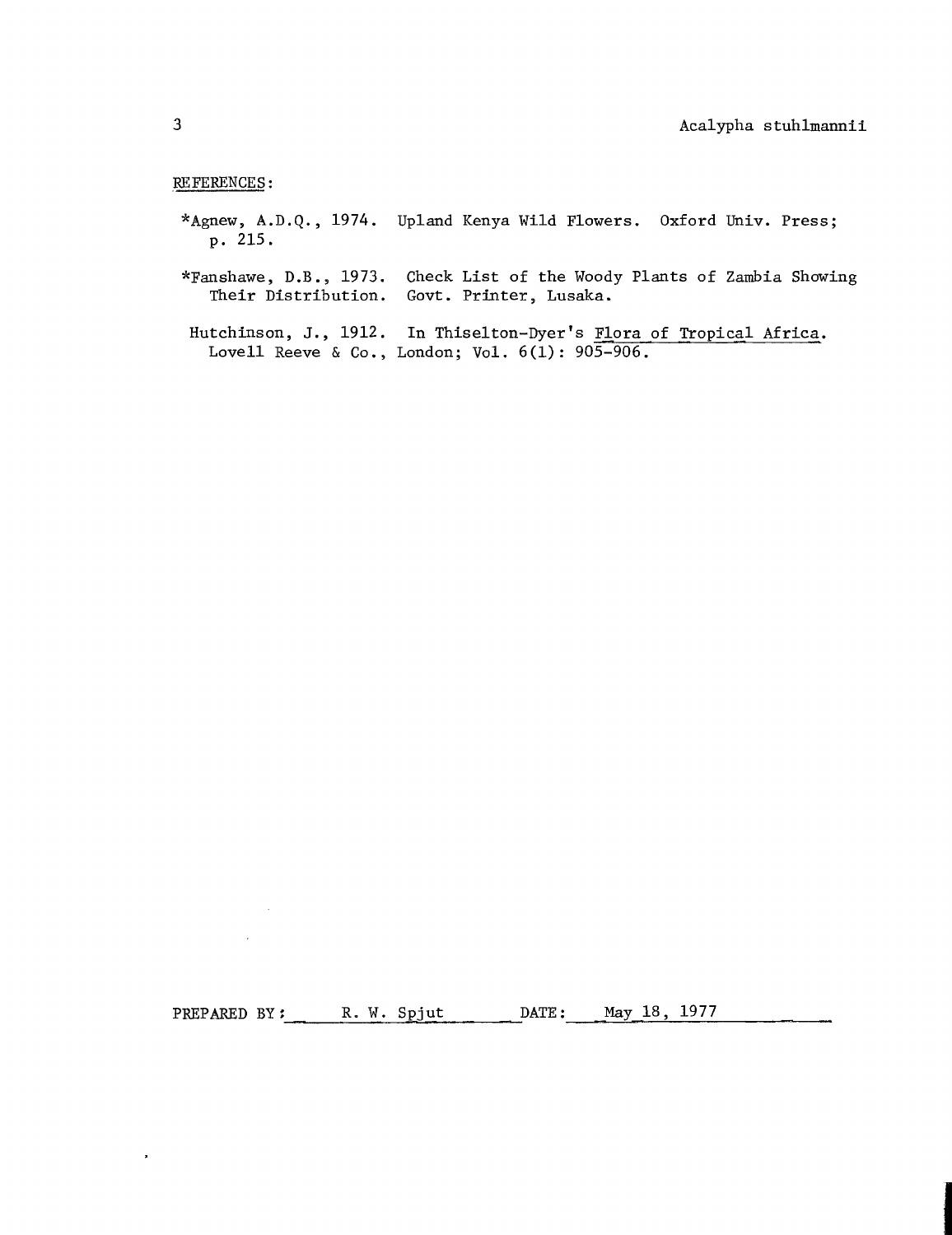## REFERENCES :

 $\sim 10^{-1}$ 

 $\sim 10^7$ 

 $\mathbf{r}$ 

- \*Agnew, A.D.Q., 1974. Upland Kenya Wild Flowers. Oxford Univ. Press; p. 215.
- \*Fanshawe, D.B., 1973. Check List of the Woody Plants of Zambia Showing<br>Their Distribution. Govt. Printer, Lusaka. Govt. Printer, Lusaka.
- Hutchinson, J., 1912. In Thiselton-Dyer's Flora of Tropical Africa. Lovell Reeve & Co., London; Vol. 6(1): 905-906.